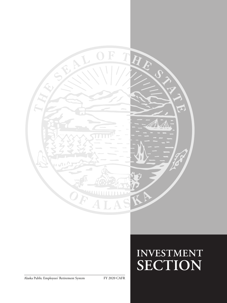#### Alaska Public Employees' Retirement System FY 2020 CAFR

# $INVESTMENT$ **SECTION**

 $\bm{E}$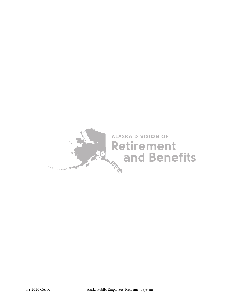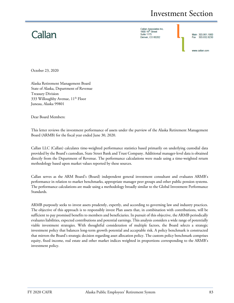# Callan

Callan Associates Inc.<br>1900 16<sup>th</sup> Street **Suite 1175** Denver, CO 80202

Main 303.861.1900 303 832 8230

www.callan.com

October 23, 2020

Alaska Retirement Management Board State of Alaska, Department of Revenue Treasury Division 333 Willoughby Avenue, 11<sup>th</sup> Floor Juneau, Alaska 99801

Dear Board Members:

This letter reviews the investment performance of assets under the purview of the Alaska Retirement Management Board (ARMB) for the fiscal year ended June 30, 2020.

Callan LLC (Callan) calculates time-weighted performance statistics based primarily on underlying custodial data provided by the Board's custodian, State Street Bank and Trust Company. Additional manager-level data is obtained directly from the Department of Revenue. The performance calculations were made using a time-weighted return methodology based upon market values reported by these sources.

Callan serves as the ARM Board's (Board) independent general investment consultant and evaluates ARMB's performance in relation to market benchmarks, appropriate manager peer groups and other public pension systems. The performance calculations are made using a methodology broadly similar to the Global Investment Performance Standards.

ARMB purposely seeks to invest assets prudently, expertly, and according to governing law and industry practices. The objective of this approach is to responsibly invest Plan assets that, in combination with contributions, will be sufficient to pay promised benefits to members and beneficiaries. In pursuit of this objective, the ARMB periodically evaluates liabilities, expected contributions and potential earnings. This analysis considers a wide range of potentially viable investment strategies. With thoughtful consideration of multiple factors, the Board selects a strategic investment policy that balances long-term growth potential and acceptable risk. A policy benchmark is constructed that mirrors the Board's strategic decision regarding asset allocation policy. The custom policy benchmark comprises equity, fixed income, real estate and other market indices weighted in proportions corresponding to the ARMB's investment policy.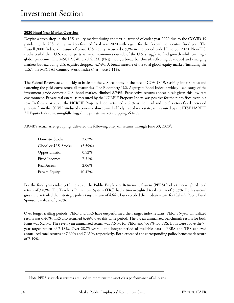#### **2020 Fiscal Year Market Overview**

Despite a steep drop in the U.S. equity market during the first quarter of calendar year 2020 due to the COVID-19 pandemic, the U.S. equity markets finished fiscal year 2020 with a gain for the eleventh consecutive fiscal year. The Russell 3000 Index, a measure of broad U.S. equity, returned 6.53% in the period ended June 30, 2020. Non-U.S. stocks trailed their U.S. counterparts as major economies outside of the U.S. struggle to find growth while battling a global pandemic. The MSCI ACWI ex-U.S. IMI (Net) index, a broad benchmark reflecting developed and emerging markets but excluding U.S. equities dropped -4.74%. A broad measure of the total global equity market (including the U.S.), the MSCI All Country World Index (Net), rose 2.11%.

The Federal Reserve acted quickly to backstop the U.S. economy in the face of COVID-19, slashing interest rates and flattening the yield curve across all maturities. The Bloomberg U.S. Aggregate Bond Index, a widely-used gauge of the investment grade domestic U.S. bond market, climbed 8.74%. Prospective returns appear bleak given this low rate environment. Private real estate, as measured by the NCREIF Property Index, was positive for the ninth fiscal year in a row. In fiscal year 2020, the NCREIF Property Index returned 2.69% as the retail and hotel sectors faced increased pressure from the COVID-induced economic slowdown. Publicly traded real estate, as measured by the FTSE NAREIT All Equity Index, meaningfully lagged the private markets, dipping -6.47%.

ARMB's actual asset groupings delivered the following one-year returns through June 30, 2020<sup>1</sup>:

| Domestic Stocks:       | 2.62%      |
|------------------------|------------|
| Global ex-U.S. Stocks: | $(3.59\%)$ |
| Opportunistic:         | 0.52%      |
| Fixed Income:          | 7.31%      |
| Real Assets:           | 2.06%      |
| Private Equity:        | 10.47%     |

For the fiscal year ended 30 June 2020, the Public Employees Retirement System (PERS) had a time-weighted total return of 3.83%. The Teachers Retirement System (TRS) had a time-weighted total return of 3.83%. Both systems' gross return trailed their strategic policy target return of 4.64% but exceeded the median return for Callan's Public Fund Sponsor database of 3.26%.

Over longer trailing periods, PERS and TRS have outperformed their target index returns. PERS's 5-year annualized return was 6.46%. TRS also returned 6.46% over this same period. The 5-year annualized benchmark return for both Plans was 6.24%. The seven-year annualized return was 7.64% for PERS and 7.65% for TRS. Both were above the 7– year target return of 7.18%. Over 28.75 years – the longest period of available data – PERS and TRS achieved annualized total returns of 7.60% and 7.65%, respectively. Both exceeded the corresponding policy benchmark return of 7.49%.

<sup>&</sup>lt;sup>1</sup>Note PERS asset class returns are used to represent the asset class performance of all plans.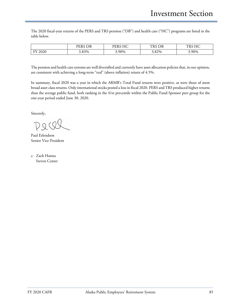The 2020 fiscal-year returns of the PERS and TRS pension ("DB") and health care ("HC") programs are listed in the table below.

|                               | $\mathbf{\Gamma}$<br><b>DEDC</b><br>DБ<br><b>LIV</b> | $\mathbf{r}$<br>1 I V<br>$\sim$ | $\n  D\n$<br>ັບມ<br>11 TO | $T T \cap$<br>$\blacksquare$<br>R.<br>---<br><b>ALO</b> |
|-------------------------------|------------------------------------------------------|---------------------------------|---------------------------|---------------------------------------------------------|
| $\bigcap$<br>A.<br>2020<br>л. | .83%                                                 | 90%،ر                           | 82%.                      | 90%                                                     |

The pension and health care systems are well diversified and currently have asset allocation policies that, in our opinion, are consistent with achieving a long-term "real" (above inflation) return of 4.5%.

In summary, fiscal 2020 was a year in which the ARMB's Total Fund returns were positive, as were those of most broad asset class returns. Only international stocks posted a loss in fiscal 2020. PERS and TRS produced higher returns than the average public fund, both ranking in the 41st percentile within the Public Fund Sponsor peer group for the one-year period ended June 30, 2020.

Sincerely,

DQC

Paul Erlendson Senior Vice President

c: Zach Hanna Steven Center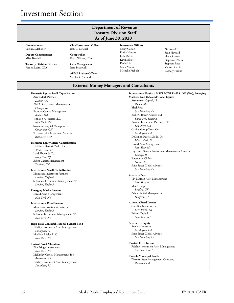# Investment Section

#### **Department of Revenue Treasury Division Staff As of June 30, 2020**

**Commissioner** Lucinda Mahoney

**Deputy Commissioner** Mike Barnhill

**Treasury Division Director** Pamela Leary, CPA

Bob G. Mitchell **Comptroller** Kayla Wisner, CPA

**Chief Investment Officer**

**Cash Management** Jesse Blackwell **ARMB Liaison Officer**

Stephanie Alexander

**Investment Officers** Casey Colton Emily Howard Josh McLin Kevin Elliot Kevin Liu Mark Moon Michelle Prebula

Nicholas Orr Sean Howard Shane Carson Stephanie Pham Stephen Sikes Victor Djajalie Zachary Hanna

#### **External Money Managers and Consultants**

#### **Domestic Equity Small Capitalization**

ArrowMark Partners *Denver, CO* BMO Global Asset Management *Chicago, IL* Frontier Capital Management *Boston, MA* Jennison Associates LLC *New York, NY* Sycamore Capital Management *Cincinnati, OH* T. Rowe Price Investment Services *Baltimore, MD*

#### **Domestic Equity Micro Capitalization**

DePrince, Race & Zollo, Inc. *Winter Park, FL* Lord Abbett & Co. *Jersey City, NJ* Zebra Capital Management *Stanford, CT*

#### **International Small Capitalization**

Mondrian Investment Partners *London, England* Schroders Investment Management NA *London, England*

#### **Emerging Market Income**

Lazard Asset Management *New York, NY*

#### **International Fixed Income**

Mondrian Investment Partners *London, England* Schroder Investment Management NA *New York, NY*

#### **High Yield/Convertible Bond/Tactical Bond**

Fidelity Investment Asset Management *Smithfield, RI* MacKay Shields LLC *New York, NY*

#### **Tactical Asset Allocation** PineBridge Investments *New York, NY*

McKinley Capital Management, Inc. *Anchorage, AK* Fidelity Investment Asset Management *Smithfield, RI*

**Markets, Non U.S., and Global Equity** Arrowstreet Capital, LP *Boston, MA* BlackRock *San Francisco, CA* Baille Gifford Overseas Ltd. *Edinburgh, Scotland* Brandes Investment Partners, L.P. *San Diego, CA* Capital Group Trust Co. *Los Angeles, CA* DePrince, Race & Zollo, Inc *Winter Park, FL* Lazard Asset Management *New York, NY*  Legal and General Investment Management America *Chicago, IL* Parametric Clifton *Seattle, WA* State Street Global Advisors *San Francisco, CA* **Alternate Beta** J.P. Morgan Asset Management

**International Equity – MSCI ACWI Ex-U.S. IMI (Net), Emerging** 

*New York, NY* Man Group *London, UK* Zebra Capital Management *Stanford, CT*

#### **Alternate Fixed Income**

Crestline Investors, Inc *Fort Worth, TX* Prisma Capital *New York, NY*

#### **Alternative Equity**

Analytic Investors *Los Angeles, CA* State Street Global Advisors *San Francisco, CA*

**Tactical Fixed Income** Fidelity Investment Asset Management *Merrimack, NH*

**Taxable Municipal Bonds** Western Asset Management Company *Pasadena, CA*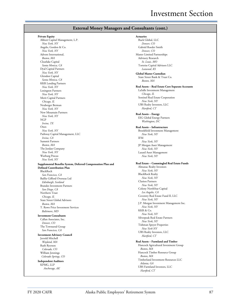# Investment Section

#### **External Money Managers and Consultants (cont.)**

**Private Equity**

Abbott Capital Management, L.P. *New York, NY* Angelo, Gordon & Co. *New York, NY* Advent International, *Boston, MA*  Clearlake Capital *Santa Monica, CA* Dyal Capital Partners *New York, NY* Glendon Capital *Santa Monica, CA* KKR Lending Partners *New York, NY* Lexington Partners *New York, NY* Merit Capital Partners *Chicago, IL* Neuberger Berman *New York, NY* New Mountain Partners *New York, NY* NGP *Irvine, TX* Onex *New York, NY* Pathway Capital Management, LLC *Irvine, CA* Summit Partners *Boston, MA* The Jordan Company *New York, NY* Warburg Pincus *New York, NY* **Supplemental Benefits System, Deferred Compensation Plan and Defined Contribution Plan** BlackRock *San Francisco, CA* Baillie Gifford Overseas Ltd *Edinburgh, Scotland* Brandes Investment Partners *San Diego, CA* Northern Trust *Chicago, IL* State Street Global Advisors *Boston, MA* T. Rowe Price Investment Services *Baltimore, MD* **Investment Consultants** Callan Associates, Inc. *Denver, CO* The Townsend Group *San Francisco, CA* **Investment Advisory Council** Jerrold Mitchell *Wayland, MA* Ruth Ryerson *Colorado, CO* William Jennings  *Colorado Springs, CO* **Independent Auditors** KPMG, LLP *Anchorage, AK*

**Actuaries** Buck Global, LLC *Denver, CO* Gabriel Roeder Smith *Denver, CO* Master Limited Partnerships Advisory Research *St. Louis, MO* Tortoise Capital Advisors LLC *Leawood, KS*  **Global Master Custodian** State Street Bank & Trust Co. *Boston, MA* **Real Assets – Real Estate Core Separate Accounts** LaSalle Investment Management *Chicago, IL* Sentinel Real Estate Corporation *New York, NY* UBS Realty Investors, LLC *Hartford, CT* **Real Assets – Energy** EIG Global Energy Partners *Washington, DC* **Real Assets – Infrastructure** Brookfield Investment Management *New York, NY* IFM *New York, NY* JP Morgan Asset Management *New York, NY* Lazard Asset Management *New York, NY* **Real Estate – Commingled Real Estate Funds** Almanac Realty Investors *New York, NY* BlackRock Realty *New York, NY* Clarion Partners *New York, NY* Colony NorthStar Capital *Los Angeles, CA* Coventry Real Estate Fund II, LLC *New York, NY* J.P. Morgan Investment Management Inc. *New York, NY* KKR & Co. *New York, NY* Silverpeak Real Estate Partners *New York, NY* Tishman Speyer Properties *New York NY* UBS Realty Investors, LLC *Hartford, CT* **Real Assets – Farmland and Timber** Hancock Agricultural Investment Group *Boston, MA* Hancock Timber Resource Group *Boston, MA* Timberland Investment Resources LLC  *Atlanta, GA* UBS Farmland Investors, LLC *Hartford, CT*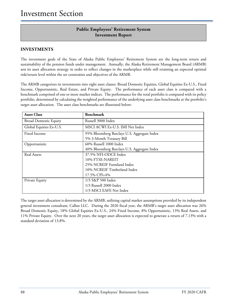## **Public Employees' Retirement System Investment Report**

#### **INVESTMENTS**

The investment goals of the State of Alaska Public Employees' Retirement System are the long-term return and sustainability of the pension funds under management. Annually, the Alaska Retirement Management Board (ARMB) sets its asset allocation strategy in order to reflect changes in the marketplace while still retaining an expected optimal risk/return level within the set constraints and objectives of the ARMB.

The ARMB categorizes its investments into eight asset classes: Broad Domestic Equities, Global Equities Ex-U.S., Fixed Income, Opportunistic, Real Estate, and Private Equity. The performance of each asset class is compared with a benchmark comprised of one or more market indices. The performance for the total portfolio is compared with its policy portfolio, determined by calculating the weighted performance of the underlying asset class benchmarks at the portfolio's target asset allocation. The asset class benchmarks are illustrated below:

| <b>Asset Class</b>           | <b>Benchmark</b>                            |
|------------------------------|---------------------------------------------|
| <b>Broad Domestic Equity</b> | Russell 3000 Index                          |
| Global Equities Ex-U.S.      | MSCI ACWI Ex-U.S. IMI Net Index             |
| Fixed Income                 | 95% Bloomberg Barclays U.S. Aggregate Index |
|                              | 5% 3-Month Treasury Bill                    |
| Opportunistic                | 60% Russell 1000 Index                      |
|                              | 40% Bloomberg Barclays U.S. Aggregate Index |
| <b>Real Assets</b>           | 37.5% NFI-ODCE Index                        |
|                              | 10% FTSE-NAREIT                             |
|                              | 25% NCREIF Farmland Index                   |
|                              | 10% NCREIF Timberland Index                 |
|                              | 17.5% CPI+4%                                |
| Private Equity               | 1/3 S&P 500 Index                           |
|                              | 1/3 Russell 2000 Index                      |
|                              | 1/3 MSCI EAFE Net Index                     |

The target asset allocation is determined by the ARMB, utilizing capital market assumptions provided by its independent general investment consultant, Callan LLC. During the 2020 fiscal year, the ARMB's target asset allocation was 26% Broad Domestic Equity, 18% Global Equities Ex-U.S., 24% Fixed Income, 8% Opportunistic, 13% Real Assets, and 11% Private Equity. Over the next 20 years, the target asset allocation is expected to generate a return of 7.13% with a standard deviation of 13.8%.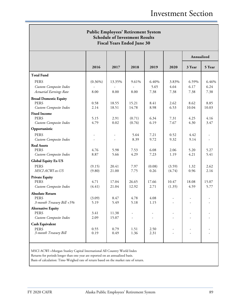| <b>Public Employees' Retirement System</b><br><b>Schedule of Investment Results</b><br><b>Fiscal Years Ended June 30</b> |              |              |              |              |        |            |        |
|--------------------------------------------------------------------------------------------------------------------------|--------------|--------------|--------------|--------------|--------|------------|--------|
|                                                                                                                          |              |              |              |              |        | Annualized |        |
|                                                                                                                          | 2016         | 2017         | 2018         | 2019         | 2020   | 3 Year     | 5 Year |
| <b>Total Fund</b>                                                                                                        |              |              |              |              |        |            |        |
| <b>PERS</b>                                                                                                              | $(0.36\%)$   | 13.35%       | 9.61%        | 6.40%        | 3.83%  | 6.59%      | 6.46%  |
| Custom Composite Index                                                                                                   |              |              |              | 5.65         | 4.64   | 6.17       | 6.24   |
| Actuarial Earnings Rate                                                                                                  | 8.00         | 8.00         | 8.00         | 7.38         | 7.38   | 7.38       | 7.38   |
| <b>Broad Domestic Equity</b>                                                                                             |              |              |              |              |        |            |        |
| <b>PERS</b>                                                                                                              | 0.58         | 18.55        | 15.21        | 8.41         | 2.62   | 8.62       | 8.85   |
| Custom Composite Index                                                                                                   | 2.14         | 18.51        | 14.78        | 8.98         | 6.53   | 10.04      | 10.03  |
| <b>Fixed Income</b><br><b>PERS</b>                                                                                       | 5.15         | 2.91         | (0.71)       | 6.34         | 7.31   | 4.25       | 4.16   |
| Custom Composite Index                                                                                                   | 4.79         | 0.02         | (0.76)       | 6.19         | 7.67   | 4.30       | 3.47   |
| Opportunistic                                                                                                            |              |              |              |              |        |            |        |
| <b>PERS</b>                                                                                                              |              |              | 5.64         | 7.21         | 0.52   | 4.42       |        |
| Custom Composite Index                                                                                                   |              |              | 8.39         | 9.72         | 9.32   | 9.14       |        |
| <b>Real Assets</b>                                                                                                       |              |              |              |              |        |            |        |
| <b>PERS</b>                                                                                                              | 4.76         | 5.98         | 7.53         | 6.08         | 2.06   | 5.20       | 5.27   |
| Custom Composite Index                                                                                                   | 8.87         | 5.66         | 4.29         | 7.23         | 1.19   | 4.21       | 5.41   |
| <b>Global Equity Ex-US</b>                                                                                               |              |              |              |              |        |            |        |
| <b>PERS</b>                                                                                                              | (9.15)       | 20.41        | 7.97         | (0.08)       | (3.59) | 1.32       | 2.62   |
| MSCI ACWI ex-US                                                                                                          | (9.80)       | 21.00        | 7.75         | 0.26         | (4.74) | 0.96       | 2.16   |
| <b>Private Equity</b><br><b>PERS</b>                                                                                     | 4.71         | 17.04        | 26.65        | 17.66        | 10.47  | 18.08      | 15.07  |
| Custom Composite Index                                                                                                   | (4.41)       | 21.04        | 12.92        | 2.71         | (1.35) | 4.59       | 5.77   |
| <b>Absolute Return</b>                                                                                                   |              |              |              |              |        |            |        |
| <b>PERS</b>                                                                                                              | (3.09)       | 8.47         | 4.78         | 4.08         |        |            |        |
| 3-month Treasury Bill +5%                                                                                                | 5.19         | 5.49         | 5.18         | 1.15         |        |            |        |
| <b>Alternative Equity</b>                                                                                                |              |              |              |              |        |            |        |
| <b>PERS</b>                                                                                                              | 3.41         | 11.38        |              |              |        |            |        |
| Custom Composite Index                                                                                                   | 2.09         | 15.07        |              |              |        |            |        |
| <b>Cash Equivalent</b>                                                                                                   |              |              |              |              |        |            |        |
| <b>PERS</b><br>3-month Treasury Bill                                                                                     | 0.55<br>0.19 | 0.79<br>0.49 | 1.51<br>1.36 | 2.50<br>2.31 |        |            |        |
|                                                                                                                          |              |              |              |              |        |            |        |

MSCI ACWI =Morgan Stanley Capital International All Country World Index

Returns for periods longer than one year are reported on an annualized basis.

Basis of calculation: Time-Weighed rate of return based on the market rate of return.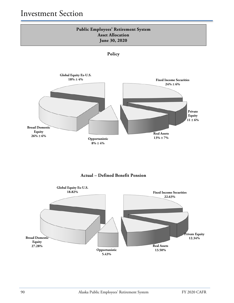



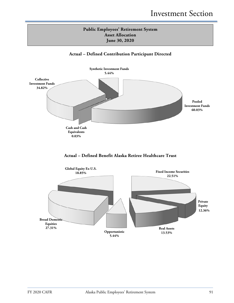### **Public Employees' Retirement System Asset Allocation June 30, 2020**

### **Actual – Defined Contribution Participant Directed**





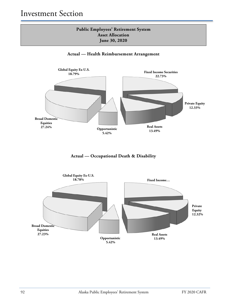# **Public Employees' Retirement System Asset Allocation June 30, 2020**





**Actual — Occupational Death & Disability**

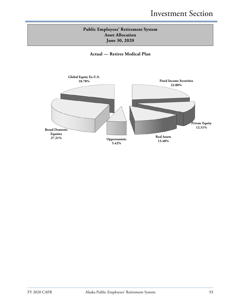## **Public Employees' Retirement System Asset Allocation June 30, 2020**

**Actual — Retiree Medical Plan**

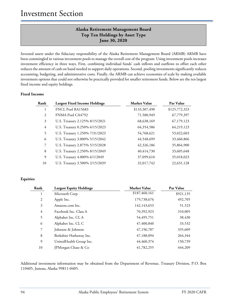# **Alaska Retirement Management Board Top Ten Holdings by Asset Type June 30, 2020**

Invested assets under the fiduciary responsibility of the Alaska Retirement Management Board (ARMB) ARMB have been commingled in various investment pools to manage the overall cost of the program. Using investment pools increases investment efficiency in three ways. First, combining individual funds' cash inflows and outflows to offset each other reduces the amount of cash on hand needed to support daily operations. Second, pooling investments significantly reduces accounting, budgeting, and administrative costs. Finally, the ARMB can achieve economies of scale by making available investment options that could not otherwise be practically provided for smaller retirement funds. Below are the ten largest fixed income and equity holdings.

#### **Fixed Income**

| Rank           | <b>Largest Fixed Income Holdings</b> | <b>Market Value</b> | <b>Par Value</b> |
|----------------|--------------------------------------|---------------------|------------------|
| 1              | FNCL Pool RA15683                    | \$133,307,490       | \$125,772,323    |
| 2              | FNMA Pool CA4792                     | 71,580,949          | 67,779,397       |
| 3              | U.S. Treasury 2.125% 8/15/2021       | 68,638,169          | 67,179,123       |
| $\overline{4}$ | U.S. Treasury 0.250% 6/15/2023       | 64,354,586          | 64,219,123       |
| 5              | U.S. Treasury 1.250% 7/31/2023       | 54,768,621          | 53,022,603       |
| 6              | U.S. Treasury 3.000% 5/15/2042       | 44,548,699          | 33,460,866       |
| 7              | U.S. Treasury 2.875% 5/15/2028       | 42,326,186          | 35,864,900       |
| 8              | U.S. Treasury 2.250% 8/15/2049       | 40,414,730          | 33,605,648       |
| 9              | U.S. Treasury 4.000% 6/1/2049        | 37,099,610          | 35,018,023       |
| 10             | U.S. Treasury 3.500% 2/15/2039       | 32,017,742          | 22,631,128       |

#### **Equities**

| Rank           | <b>Largest Equity Holdings</b> | <b>Market Value</b> | Par Value |
|----------------|--------------------------------|---------------------|-----------|
|                | Microsoft Corp.                | \$187,460,161       | \$921,135 |
| 2              | Apple Inc.                     | 179,738,676         | 492,705   |
| 3              | Amazon.com Inc.                | 142,143,653         | 51,523    |
| $\overline{4}$ | Facebook Inc. Class A          | 70,392,923          | 310,005   |
| 5              | Alphabet Inc. CL A             | 54,495,751          | 38,430    |
| 6              | Alphabet Inc. CL C             | 47,400,840          | 33,532    |
| 7              | Johnson & Johnson              | 47,196,707          | 335,609   |
| 8              | Berkshire Hathaway Inc.        | 47,188,094          | 264,344   |
| 9              | UnitedHealth Group Inc.        | 44,460,374          | 150,739   |
| 10             | JPMorgan Chase & Co            | 41,782,255          | 444,209   |

Additional investment information may be obtained from the Department of Revenue, Treasury Division, P.O. Box 110405, Juneau, Alaska 99811-0405.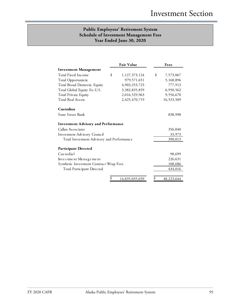#### **Public Employees' Retirement System Schedule of Investment Management Fees Year Ended June 30, 2020**

|                                            | <b>Fair Value</b>    | Fees            |
|--------------------------------------------|----------------------|-----------------|
| <b>Investment Management</b>               |                      |                 |
| Total Fixed Income                         | \$<br>1,127,373,124  | \$<br>7,573,067 |
| Total Opportunis tic                       | 979,571,651          | 5,168,896       |
| Total Broad Domestic Equity                | 4,903,253,723        | 777,913         |
| Total Global Equity Ex-U.S.                | 3,382,835,859        | 6,950,562       |
| <b>Total Private Equity</b>                | 2,016,529,963        | 9,556,670       |
| <b>Total Real Assets</b>                   | 2,425,470,719        | 16,533,509      |
| Custodian                                  |                      |                 |
| State Street Bank                          |                      | 838,998         |
| <b>Investment Advisory and Performance</b> |                      |                 |
| Callan Associates                          |                      | 356,040         |
| Investment Advisory Council                |                      | 33,973          |
| Total Investment Advisory and Performance  |                      | 390,013         |
| <b>Participant Directed</b>                |                      |                 |
| Cus to dia l                               |                      | 98,699          |
| Investment Management                      |                      | 226,631         |
| Synthetic Investment Contract Wrap Fees    |                      | 108,686         |
| Total Participant Directed                 |                      | 434,016         |
|                                            | \$<br>14,835,035,039 | 48,223,644      |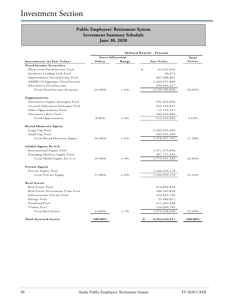|                                     | Defined Benefit - Pension |        |                     |         |
|-------------------------------------|---------------------------|--------|---------------------|---------|
|                                     | <b>Asset Allocation</b>   |        |                     | Total   |
| Investments (at Fair Value)         | Policy                    | Range  | <b>Fair Value</b>   | Assets  |
| <b>Fixed Income Securities</b>      |                           |        |                     |         |
| Short-term Fixed Income Pool        |                           |        | \$<br>92,242,016    |         |
| Securities Lending Cash Pool        |                           |        | 36,673              |         |
| Opportunistic Fixed Income Pool     |                           |        | 307,488,861         |         |
| ARMB US Aggregate Fixed Income      |                           |        | 1,449,451,869       |         |
| Alternative Fixed Income            |                           |        | 290,484,417         |         |
| Total Fixed Income Securities       | 24.00%                    | $±6\%$ | 2,139,703,836       | 22.63%  |
| Opportunistic                       |                           |        |                     |         |
| Alternative Equity Strategies Pool  |                           |        | 101,492,858         |         |
| Tactical Allocation Strategies Pool |                           |        | 292,104,815         |         |
| Other Opportunities Pool            |                           |        | 13,199,317          |         |
| Alternative Beta Pool               |                           |        | 106,535,860         |         |
| Total Opportunistic                 | 8.00%                     | $±4\%$ | 513,332,850         | 5.43%   |
|                                     |                           |        |                     |         |
| <b>Broad Domestic Equity</b>        |                           |        |                     |         |
| Large Cap Pool                      |                           |        | 2,369,545,696       |         |
| Small Cap Pool                      |                           |        | 209,391,499         |         |
| Total Broad Domestic Equity         | 26.00%                    | $±6\%$ | 2,578,937,195       | 27.28%  |
| Global Equity Ex-U.S.               |                           |        |                     |         |
| International Equity Pool           |                           |        | 1,471,535,894       |         |
| Emerging Markets Equity Pool        |                           |        | 307,715,542         |         |
| Total Global Equity Ex-U.S.         | 18.00%                    | $±4\%$ | 1,779,251,436       | 18.82%  |
| <b>Private Equity</b>               |                           |        |                     |         |
| Private Equity Pool                 |                           |        | 1,166,939,170       |         |
| Total Private Equity                | 11.00%                    | ± 6%   | 1,166,939,170       | 12.34%  |
|                                     |                           |        |                     |         |
| <b>Real Assets</b>                  |                           |        |                     |         |
| Real Estate Pool                    |                           |        | 474,696,858         |         |
| Real Estate Investment Trust Pool   |                           |        | 106,163,028         |         |
| Infrastructure Private Pool         |                           |        | 234,622,190         |         |
| Energy Pool                         |                           |        | 23,480,071          |         |
| Farmland Pool                       |                           |        | 311,205,498         |         |
| Timber Pool                         |                           |        | 126,090,785         |         |
| <b>Total Real Assets</b>            | 13.00%                    | $±7\%$ | 1,276,258,430       | 13.50%  |
| <b>Total Invested Assets</b>        | 100.00%                   |        | \$<br>9,454,422,917 | 100.00% |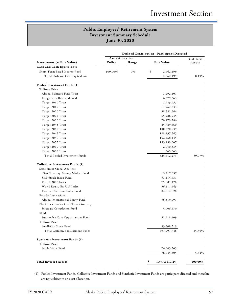|                                       |                         |       | Defined Contribution - Participant Directed |            |
|---------------------------------------|-------------------------|-------|---------------------------------------------|------------|
|                                       | <b>Asset Allocation</b> |       |                                             | % of Total |
| Investments (at Fair Value)           | Policy                  | Range | Fair Value                                  | Assets     |
| Cash and Cash Equivalents             |                         |       |                                             |            |
| Short-Term Fixed Income Pool          | 100.00%                 | 0%    | \$<br>2,662,199                             |            |
| Total Cash and Cash Equivalents       |                         |       | 2,662,199                                   | 0.19%      |
| Pooled Investment Funds (1)           |                         |       |                                             |            |
| T. Rowe Price                         |                         |       |                                             |            |
| Alaska Balanced Fund Trust            |                         |       | 7,292,101                                   |            |
| Long-Term Balanced Fund               |                         |       | 6,379,363                                   |            |
| Target 2010 Trust                     |                         |       | 2,983,957                                   |            |
| Target 2015 Trust                     |                         |       | 11,967,233                                  |            |
| Target 2020 Trust                     |                         |       | 38,381,644                                  |            |
| Target 2025 Trust                     |                         |       | 65,986,935                                  |            |
| Target 2030 Trust                     |                         |       | 70,179,786                                  |            |
| Target 2035 Trust                     |                         |       | 85,789,860                                  |            |
| Target 2040 Trust                     |                         |       | 100,270,739                                 |            |
| Target 2045 Trust                     |                         |       | 128, 137, 545                               |            |
| Target 2050 Trust                     |                         |       | 152,468,145                                 |            |
| Target 2055 Trust                     |                         |       | 153,159,067                                 |            |
| Target 2060 Trust                     |                         |       | 2,050,335                                   |            |
| Target 2065 Trust                     |                         |       | 565,563                                     |            |
| Total Pooled Investment Funds         |                         |       | 825, 612, 273                               | 59.07%     |
| Collective Investment Funds (1)       |                         |       |                                             |            |
| State Street Global Advisors          |                         |       |                                             |            |
| SSgA Treasury Money Market Fund       |                         |       | 13,717,037                                  |            |
| S&P Stock Index Fund                  |                         |       | 57,114,631                                  |            |
| Russell 3000 Index                    |                         |       | 75,081,120                                  |            |
| World Equity Ex-U.S. Index            |                         |       | 56,511,643                                  |            |
| Passive U.S. Bond Index Fund          |                         |       | 84,014,828                                  |            |
| Brandes Institutional                 |                         |       |                                             |            |
| Alaska International Equity Fund      |                         |       | 56,319,091                                  |            |
| BlackRock Institutional Trust Company |                         |       |                                             |            |
| Strategic Completion Fund             |                         |       | 4,006,470                                   |            |
| <b>RCM</b>                            |                         |       |                                             |            |
| Sustainable Core Opportunities Fund   |                         |       | 52,918,409                                  |            |
| T. Rowe Price                         |                         |       |                                             |            |
| Small-Cap Stock Fund                  |                         |       | 93,608,519                                  |            |
| Total Collective Investment Funds     |                         |       | 493,291,748                                 | 35.30%     |
| Synthetic Investment Funds (1)        |                         |       |                                             |            |
| T. Rowe Price                         |                         |       |                                             |            |
| Stable Value Fund                     |                         |       | 76,045,505                                  |            |
|                                       |                         |       | 76,045,505                                  | 5.44%      |
| <b>Total Invested Assets</b>          |                         |       | \$<br>1,397,611,725                         | 100.00%    |

(1) Pooled Investment Funds, Collective Investment Funds and Synthetic Investment Funds are participant directed and therefore are not subject to an asset allocation.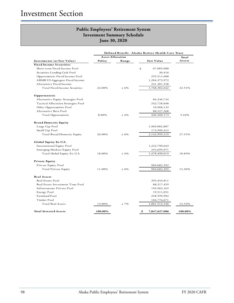|                                     | Defined Benefit - Alaska Retiree Health Care Trust |         |                     |         |  |
|-------------------------------------|----------------------------------------------------|---------|---------------------|---------|--|
|                                     | <b>Asset Allocation</b>                            |         |                     | Total   |  |
| Investments (at Fair Value)         | Policy                                             | Range   | Fair Value          | Assets  |  |
| <b>Fixed Income Securities</b>      |                                                    |         |                     |         |  |
| Short-term Fixed Income Pool        |                                                    |         | \$<br>67,085,088    |         |  |
| Securities Lending Cash Pool        |                                                    |         | 30,416              |         |  |
| Opportunistic Fixed Income Pool     |                                                    |         | 255,511,608         |         |  |
| ARMB US Aggregate Fixed Income      |                                                    |         | 1,204,373,972       |         |  |
| Alternative Fixed Income            |                                                    |         | 241,381,558         |         |  |
| Total Fixed Income Securities       | 24.00%                                             | $± 6\%$ | 1,768,382,642       | 22.51%  |  |
| Opportunistic                       |                                                    |         |                     |         |  |
| Alternative Equity Strategies Pool  |                                                    |         | 84,336,724          |         |  |
| Tactical Allocation Strategies Pool |                                                    |         | 242,728,048         |         |  |
| Other Opportunities Pool            |                                                    |         | 10,968,133          |         |  |
| Alternative Beta Pool               |                                                    |         | 88,527,268          |         |  |
| Total Opportunistic                 | 8.00%                                              | ±4%     | 426,560,173         | 5.44%   |  |
| <b>Broad Domestic Equity</b>        |                                                    |         |                     |         |  |
| Large Cap Pool                      |                                                    |         | 1,969,002,807       |         |  |
| Small Cap Pool                      |                                                    |         | 173,996,412         |         |  |
| Total Broad Domestic Equity         | 26.00%                                             | ± 6%    | 2,142,999,219       | 27.31%  |  |
| Global Equity Ex-U.S.               |                                                    |         |                     |         |  |
| International Equity Pool           |                                                    |         | 1,222,790,643       |         |  |
| Emerging Markets Equity Pool        |                                                    |         | 255,699,971         |         |  |
| Total Global Equity Ex-U.S.         | 18.00%                                             | $±4\%$  | 1,478,490,614       | 18.85%  |  |
| <b>Private Equity</b>               |                                                    |         |                     |         |  |
| Private Equity Pool                 |                                                    |         | 969,682,292         |         |  |
| Total Private Equity                | 11.00%                                             | $±6\%$  | 969,682,292         | 12.36%  |  |
| <b>Real Assets</b>                  |                                                    |         |                     |         |  |
| Real Estate Pool                    |                                                    |         | 395,444,811         |         |  |
| Real Estate Investment Trust Pool   |                                                    |         | 88,217,459          |         |  |
| Infrastructure Private Pool         |                                                    |         | 194,962,162         |         |  |
| Energy Pool                         |                                                    |         | 19,511,051          |         |  |
| Farmland Pool                       |                                                    |         | 258,599,992         |         |  |
| Timber Pool                         |                                                    |         | 104,776,671         |         |  |
| <b>Total Real Assets</b>            | 13.00%                                             | $±7\%$  | 1,061,512,146       | 13.53%  |  |
| <b>Total Invested Assets</b>        | 100.00%                                            |         | \$<br>7,847,627,086 | 100.00% |  |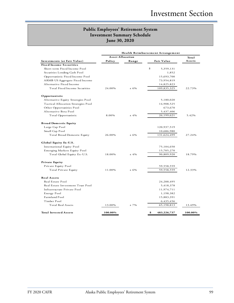|                                     | Health Reimbursement Arrangement |          |                   |         |
|-------------------------------------|----------------------------------|----------|-------------------|---------|
|                                     | <b>Asset Allocation</b>          |          |                   | Total   |
| Investments (at Fair Value)         | Policy                           | Range    | Fair Value        | Assets  |
| <b>Fixed Income Securities</b>      |                                  |          |                   |         |
| Short-term Fixed Income Pool        |                                  |          | \$<br>5,359,131   |         |
| Securities Lending Cash Pool        |                                  |          | 1,852             |         |
| Opportunistic Fixed Income Pool     |                                  |          | 15,693,700        |         |
| ARMB US Aggregate Fixed Income      |                                  |          | 73,954,819        |         |
| Alternative Fixed Income            |                                  |          | 14,825,823        |         |
| Total Fixed Income Securities       | 24.00%                           | $± 6\%$  | 109,835,325       | 22.73%  |
| Opportunistic                       |                                  |          |                   |         |
| Alternative Equity Strategies Pool  |                                  |          | 5,180,020         |         |
| Tactical Allocation Strategies Pool |                                  |          | 14,908,525        |         |
| Other Opportunities Pool            |                                  |          | 673,670           |         |
| Alternative Beta Pool               |                                  |          | 5,437,406         |         |
| Total Opportunistic                 | 8.00%                            | $±4\%$   | 26,199,621        | 5.42%   |
| <b>Broad Domestic Equity</b>        |                                  |          |                   |         |
| Large Cap Pool                      |                                  |          | 120,937,519       |         |
| Small Cap Pool                      |                                  |          | 10,686,980        |         |
| Total Broad Domestic Equity         | 26.00%                           | $± 6\%$  | 131,624,499       | 27.24%  |
| Global Equity Ex-U.S.               |                                  |          |                   |         |
| International Equity Pool           |                                  |          | 75,104,650        |         |
| Emerging Markets Equity Pool        |                                  |          | 15,705,270        |         |
| Total Global Equity Ex-U.S.         | 18.00%                           | $±4\%$   | 90,809,920        | 18.79%  |
| <b>Private Equity</b>               |                                  |          |                   |         |
| Private Equity Pool                 |                                  |          | 59,558,559        |         |
| Total Private Equity                | 11.00%                           | $± 6\%$  | 59,558,559        | 12.33%  |
| <b>Real Assets</b>                  |                                  |          |                   |         |
| Real Estate Pool                    |                                  |          | 24,288,495        |         |
| Real Estate Investment Trust Pool   |                                  |          | 5,418,378         |         |
| Infrastructure Private Pool         |                                  |          | 11,974,711        |         |
| Energy Pool                         |                                  |          | 1,198,382         |         |
| Farmland Pool                       |                                  |          | 15,883,391        |         |
| Timber Pool                         |                                  |          | 6,435,456         |         |
| <b>Total Real Assets</b>            | 13.00%                           | $\pm$ 7% | 65,198,813        | 13.49%  |
| <b>Total Invested Assets</b>        | 100.00%                          |          | \$<br>483,226,737 | 100.00% |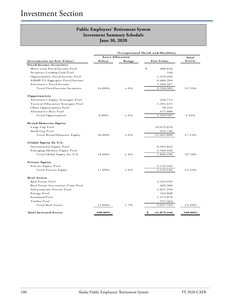|                                     | Occupational Death and Disability |          |                   |         |
|-------------------------------------|-----------------------------------|----------|-------------------|---------|
|                                     | <b>Asset Allocation</b>           |          |                   | Total   |
| Investments (at Fair Value)         | Policy                            | Range    | <b>Fair Value</b> | Assets  |
| <b>Fixed Income Securities</b>      |                                   |          |                   |         |
| Short-term Fixed Income Pool        |                                   |          | \$<br>480,828     |         |
| Securities Lending Cash Pool        |                                   |          | 160               |         |
| Opportunistic Fixed Income Pool     |                                   |          | 1,359,446         |         |
| ARMB US Aggregate Fixed Income      |                                   |          | 6,406,204         |         |
| Alternative Fixed Income            |                                   |          | 1,284,267         |         |
| Total Fixed Income Securities       | 24.00%                            | $\pm$ 6% | 9,530,905         | 22.76%  |
| Opportunistic                       |                                   |          |                   |         |
| Alternative Equity Strategies Pool  |                                   |          | 448,712           |         |
| Tactical Allocation Strategies Pool |                                   |          | 1,291,431         |         |
| Other Opportunities Pool            |                                   |          | 58,356            |         |
| Alternative Beta Pool               |                                   |          | 471,008           |         |
| Total Opportunistic                 | 8.00%                             | $±4\%$   | 2,269,507         | 5.42%   |
| <b>Broad Domestic Equity</b>        |                                   |          |                   |         |
| Large Cap Pool                      |                                   |          | 10,476,054        |         |
| Small Cap Pool                      |                                   |          | 925,746           |         |
| Total Broad Domestic Equity         | 26.00%                            | ± 6%     | 11,401,800        | 27.23%  |
| Global Equity Ex-U.S.               |                                   |          |                   |         |
| International Equity Pool           |                                   |          | 6,505,842         |         |
| Emerging Markets Equity Pool        |                                   |          | 1,360,448         |         |
| Total Global Equity Ex-U.S.         | 18.00%                            | $± 4\%$  | 7,866,290         | 18.78%  |
| <b>Private Equity</b>               |                                   |          |                   |         |
| Private Equity Pool                 |                                   |          | 5,159,182         |         |
| Total Private Equity                | 11.00%                            | $\pm$ 6% | 5,159,182         | 12.32%  |
| <b>Real Assets</b>                  |                                   |          |                   |         |
| Real Estate Pool                    |                                   |          | 2,103,959         |         |
| Real Estate Investment Trust Pool   |                                   |          | 469,360           |         |
| Infrastructure Private Pool         |                                   |          | 1,037,294         |         |
| Energy Pool                         |                                   |          | 103,808           |         |
| Farmland Pool                       |                                   |          | 1,375,878         |         |
| Timber Pool                         |                                   |          | 557,463           |         |
| Total Real Assets                   | 13.00%                            | $±7\%$   | 5,647,762         | 13.49%  |
| <b>Total Invested Assets</b>        | 100.00%                           |          | 41,875,446<br>\$  | 100.00% |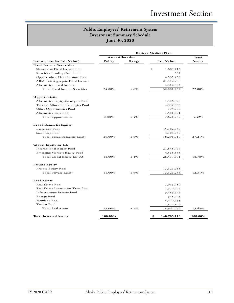|                                     | <b>Asset Allocation</b> |         |                   | Total   |
|-------------------------------------|-------------------------|---------|-------------------|---------|
| Investments (at Fair Value)         | Policy                  | Range   | Fair Value        | Assets  |
| <b>Fixed Income Securities</b>      |                         |         |                   |         |
| Short-term Fixed Income Pool        |                         |         | \$<br>1,689,716   |         |
| Securities Lending Cash Pool        |                         |         | 537               |         |
| Opportunistic Fixed Income Pool     |                         |         | 4,565,469         |         |
| ARMB US Aggregate Fixed Income      |                         |         | 21,512,738        |         |
| Alternative Fixed Income            |                         |         | 4,312,994         |         |
| Total Fixed Income Securities       | 24.00%                  | $+6%$   | 32,081,454        | 22.80%  |
| Opportunistic                       |                         |         |                   |         |
| Alternative Equity Strategies Pool  |                         |         | 1,506,925         |         |
| Tactical Allocation Strategies Pool |                         |         | 4,337,053         |         |
| Other Opportunities Pool            |                         |         | 195,978           |         |
| Alternative Beta Pool               |                         |         | 1,581,801         |         |
| Total Opportunistic                 | 8.00%                   | $±4\%$  | 7,621,757         | 5.42%   |
| <b>Broad Domestic Equity</b>        |                         |         |                   |         |
| Large Cap Pool                      |                         |         | 35,182,050        |         |
| Small Cap Pool                      |                         |         | 3,108,960         |         |
| Total Broad Domestic Equity         | 26.00%                  | $± 6\%$ | 38,291,010        | 27.21%  |
| Global Equity Ex-U.S.               |                         |         |                   |         |
| International Equity Pool           |                         |         | 21,848,766        |         |
| Emerging Markets Equity Pool        |                         |         | 4,568,835         |         |
| Total Global Equity Ex-U.S.         | 18.00%                  | $±4\%$  | 26,417,601        | 18.78%  |
| <b>Private Equity</b>               |                         |         |                   |         |
| Private Equity Pool                 |                         |         | 17,326,238        |         |
| Total Private Equity                | 11.00%                  | $±6\%$  | 17,326,238        | 12.31%  |
| <b>Real Assets</b>                  |                         |         |                   |         |
| Real Estate Pool                    |                         |         | 7,065,789         |         |
| Real Estate Investment Trust Pool   |                         |         | 1,576,265         |         |
| Infrastructure Private Pool         |                         |         | 3,483,575         |         |
| Energy Pool                         |                         |         | 348,623           |         |
| Farmland Pool                       |                         |         | 4,620,653         |         |
| Timber Pool                         |                         |         | 1,872,145         |         |
| <b>Total Real Assets</b>            | 13.00%                  | $±7\%$  | 18,967,050        | 13.48%  |
| <b>Total Invested Assets</b>        | 100.00%                 |         | \$<br>140,705,110 | 100.00% |